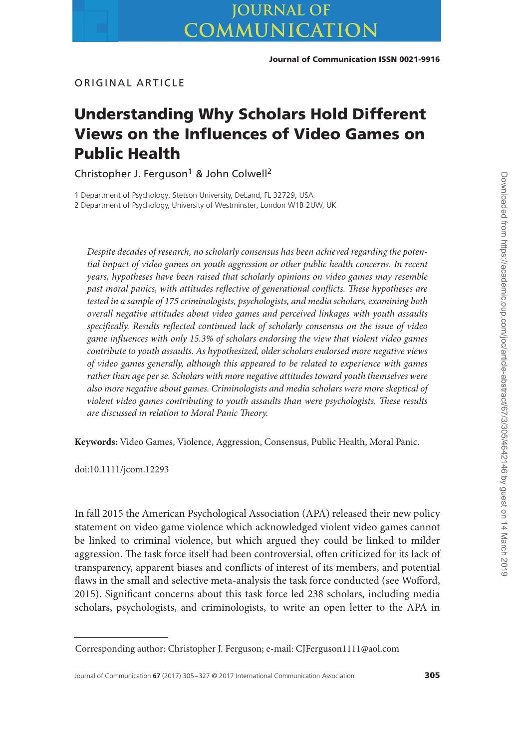# ORIGINAL ARTICLE

# **Understanding Why Scholars Hold Different Views on the Influences of Video Games on Public Health**

Christopher J. Ferguson<sup>1</sup> & John Colwell<sup>2</sup>

1 Department of Psychology, Stetson University, DeLand, FL 32729, USA

2 Department of Psychology, University of Westminster, London W1B 2UW, UK

*Despite decades of research, no scholarly consensus has been achieved regarding the potential impact of video games on youth aggression or other public health concerns. In recent years, hypotheses have been raised that scholarly opinions on video games may resemble past moral panics, with attitudes reflective of generational conflicts. These hypotheses are tested in a sample of 175 criminologists, psychologists, and media scholars, examining both overall negative attitudes about video games and perceived linkages with youth assaults specifically. Results reflected continued lack of scholarly consensus on the issue of video game influences with only 15.3% of scholars endorsing the view that violent video games contribute to youth assaults. As hypothesized, older scholars endorsed more negative views of video games generally, although this appeared to be related to experience with games rather than age per se. Scholars with more negative attitudes toward youth themselves were also more negative about games. Criminologists and media scholars were more skeptical of violent video games contributing to youth assaults than were psychologists. These results are discussed in relation to Moral Panic Theory.*

**Keywords:** Video Games, Violence, Aggression, Consensus, Public Health, Moral Panic.

doi:10.1111/jcom.12293

In fall 2015 the American Psychological Association (APA) released their new policy statement on video game violence which acknowledged violent video games cannot be linked to criminal violence, but which argued they could be linked to milder aggression. The task force itself had been controversial, often criticized for its lack of transparency, apparent biases and conflicts of interest of its members, and potential flaws in the small and selective meta-analysis the task force conducted (see Wofford, 2015). Significant concerns about this task force led 238 scholars, including media scholars, psychologists, and criminologists, to write an open letter to the APA in

Corresponding author: Christopher J. Ferguson; e-mail: CJFerguson1111@aol.com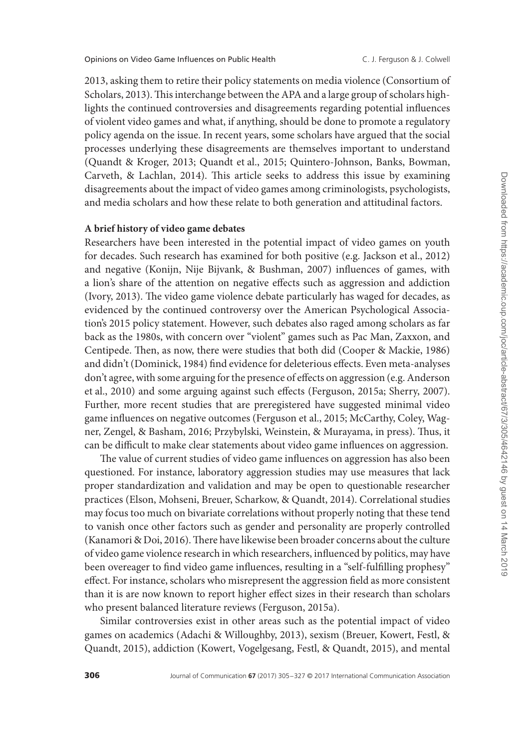2013, asking them to retire their policy statements on media violence (Consortium of Scholars, 2013). This interchange between the APA and a large group of scholars highlights the continued controversies and disagreements regarding potential influences of violent video games and what, if anything, should be done to promote a regulatory policy agenda on the issue. In recent years, some scholars have argued that the social processes underlying these disagreements are themselves important to understand (Quandt & Kroger, 2013; Quandt et al., 2015; Quintero-Johnson, Banks, Bowman, Carveth, & Lachlan, 2014). This article seeks to address this issue by examining disagreements about the impact of video games among criminologists, psychologists, and media scholars and how these relate to both generation and attitudinal factors.

# **A brief history of video game debates**

Researchers have been interested in the potential impact of video games on youth for decades. Such research has examined for both positive (e.g. Jackson et al., 2012) and negative (Konijn, Nije Bijvank, & Bushman, 2007) influences of games, with a lion's share of the attention on negative effects such as aggression and addiction (Ivory, 2013). The video game violence debate particularly has waged for decades, as evidenced by the continued controversy over the American Psychological Association's 2015 policy statement. However, such debates also raged among scholars as far back as the 1980s, with concern over "violent" games such as Pac Man, Zaxxon, and Centipede. Then, as now, there were studies that both did (Cooper & Mackie, 1986) and didn't (Dominick, 1984) find evidence for deleterious effects. Even meta-analyses don't agree, with some arguing for the presence of effects on aggression (e.g. Anderson et al., 2010) and some arguing against such effects (Ferguson, 2015a; Sherry, 2007). Further, more recent studies that are preregistered have suggested minimal video game influences on negative outcomes (Ferguson et al., 2015; McCarthy, Coley, Wagner, Zengel, & Basham, 2016; Przybylski, Weinstein, & Murayama, in press). Thus, it can be difficult to make clear statements about video game influences on aggression.

The value of current studies of video game influences on aggression has also been questioned. For instance, laboratory aggression studies may use measures that lack proper standardization and validation and may be open to questionable researcher practices (Elson, Mohseni, Breuer, Scharkow, & Quandt, 2014). Correlational studies may focus too much on bivariate correlations without properly noting that these tend to vanish once other factors such as gender and personality are properly controlled (Kanamori & Doi, 2016). There have likewise been broader concerns about the culture of video game violence research in which researchers, influenced by politics, may have been overeager to find video game influences, resulting in a "self-fulfilling prophesy" effect. For instance, scholars who misrepresent the aggression field as more consistent than it is are now known to report higher effect sizes in their research than scholars who present balanced literature reviews (Ferguson, 2015a).

Similar controversies exist in other areas such as the potential impact of video games on academics (Adachi & Willoughby, 2013), sexism (Breuer, Kowert, Festl, & Quandt, 2015), addiction (Kowert, Vogelgesang, Festl, & Quandt, 2015), and mental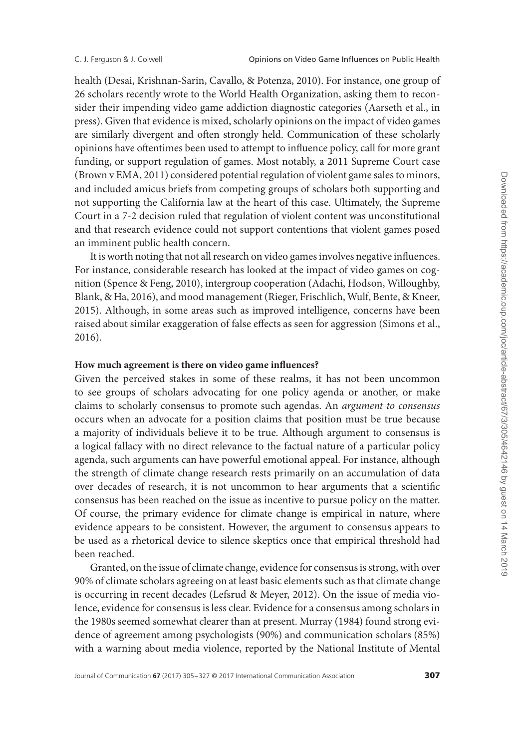health (Desai, Krishnan-Sarin, Cavallo, & Potenza, 2010). For instance, one group of 26 scholars recently wrote to the World Health Organization, asking them to reconsider their impending video game addiction diagnostic categories (Aarseth et al., in press). Given that evidence is mixed, scholarly opinions on the impact of video games are similarly divergent and often strongly held. Communication of these scholarly opinions have oftentimes been used to attempt to influence policy, call for more grant funding, or support regulation of games. Most notably, a 2011 Supreme Court case (Brown v EMA, 2011) considered potential regulation of violent game sales to minors, and included amicus briefs from competing groups of scholars both supporting and not supporting the California law at the heart of this case. Ultimately, the Supreme Court in a 7-2 decision ruled that regulation of violent content was unconstitutional and that research evidence could not support contentions that violent games posed an imminent public health concern.

It is worth noting that not all research on video games involves negative influences. For instance, considerable research has looked at the impact of video games on cognition (Spence & Feng, 2010), intergroup cooperation (Adachi, Hodson, Willoughby, Blank, & Ha, 2016), and mood management (Rieger, Frischlich, Wulf, Bente, & Kneer, 2015). Although, in some areas such as improved intelligence, concerns have been raised about similar exaggeration of false effects as seen for aggression (Simons et al., 2016).

# **How much agreement is there on video game influences?**

Given the perceived stakes in some of these realms, it has not been uncommon to see groups of scholars advocating for one policy agenda or another, or make claims to scholarly consensus to promote such agendas. An *argument to consensus* occurs when an advocate for a position claims that position must be true because a majority of individuals believe it to be true. Although argument to consensus is a logical fallacy with no direct relevance to the factual nature of a particular policy agenda, such arguments can have powerful emotional appeal. For instance, although the strength of climate change research rests primarily on an accumulation of data over decades of research, it is not uncommon to hear arguments that a scientific consensus has been reached on the issue as incentive to pursue policy on the matter. Of course, the primary evidence for climate change is empirical in nature, where evidence appears to be consistent. However, the argument to consensus appears to be used as a rhetorical device to silence skeptics once that empirical threshold had been reached.

Granted, on the issue of climate change, evidence for consensus is strong, with over 90% of climate scholars agreeing on at least basic elements such as that climate change is occurring in recent decades (Lefsrud & Meyer, 2012). On the issue of media violence, evidence for consensus is less clear. Evidence for a consensus among scholars in the 1980s seemed somewhat clearer than at present. Murray (1984) found strong evidence of agreement among psychologists (90%) and communication scholars (85%) with a warning about media violence, reported by the National Institute of Mental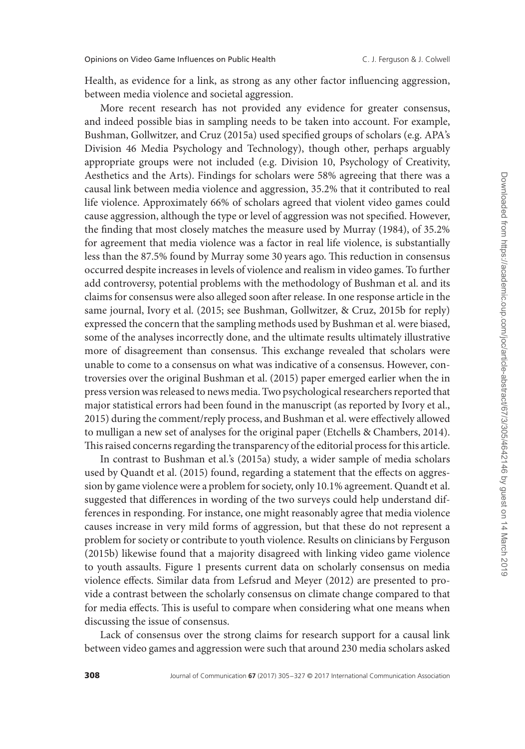Health, as evidence for a link, as strong as any other factor influencing aggression, between media violence and societal aggression.

More recent research has not provided any evidence for greater consensus, and indeed possible bias in sampling needs to be taken into account. For example, Bushman, Gollwitzer, and Cruz (2015a) used specified groups of scholars (e.g. APA's Division 46 Media Psychology and Technology), though other, perhaps arguably appropriate groups were not included (e.g. Division 10, Psychology of Creativity, Aesthetics and the Arts). Findings for scholars were 58% agreeing that there was a causal link between media violence and aggression, 35.2% that it contributed to real life violence. Approximately 66% of scholars agreed that violent video games could cause aggression, although the type or level of aggression was not specified. However, the finding that most closely matches the measure used by Murray (1984), of 35.2% for agreement that media violence was a factor in real life violence, is substantially less than the 87.5% found by Murray some 30 years ago. This reduction in consensus occurred despite increases in levels of violence and realism in video games. To further add controversy, potential problems with the methodology of Bushman et al. and its claims for consensus were also alleged soon after release. In one response article in the same journal, Ivory et al. (2015; see Bushman, Gollwitzer, & Cruz, 2015b for reply) expressed the concern that the sampling methods used by Bushman et al. were biased, some of the analyses incorrectly done, and the ultimate results ultimately illustrative more of disagreement than consensus. This exchange revealed that scholars were unable to come to a consensus on what was indicative of a consensus. However, controversies over the original Bushman et al. (2015) paper emerged earlier when the in press version was released to news media. Two psychological researchers reported that major statistical errors had been found in the manuscript (as reported by Ivory et al., 2015) during the comment/reply process, and Bushman et al. were effectively allowed to mulligan a new set of analyses for the original paper (Etchells & Chambers, 2014). This raised concerns regarding the transparency of the editorial process for this article.

In contrast to Bushman et al.'s (2015a) study, a wider sample of media scholars used by Quandt et al. (2015) found, regarding a statement that the effects on aggression by game violence were a problem for society, only 10.1% agreement. Quandt et al. suggested that differences in wording of the two surveys could help understand differences in responding. For instance, one might reasonably agree that media violence causes increase in very mild forms of aggression, but that these do not represent a problem for society or contribute to youth violence. Results on clinicians by Ferguson (2015b) likewise found that a majority disagreed with linking video game violence to youth assaults. Figure 1 presents current data on scholarly consensus on media violence effects. Similar data from Lefsrud and Meyer (2012) are presented to provide a contrast between the scholarly consensus on climate change compared to that for media effects. This is useful to compare when considering what one means when discussing the issue of consensus.

Lack of consensus over the strong claims for research support for a causal link between video games and aggression were such that around 230 media scholars asked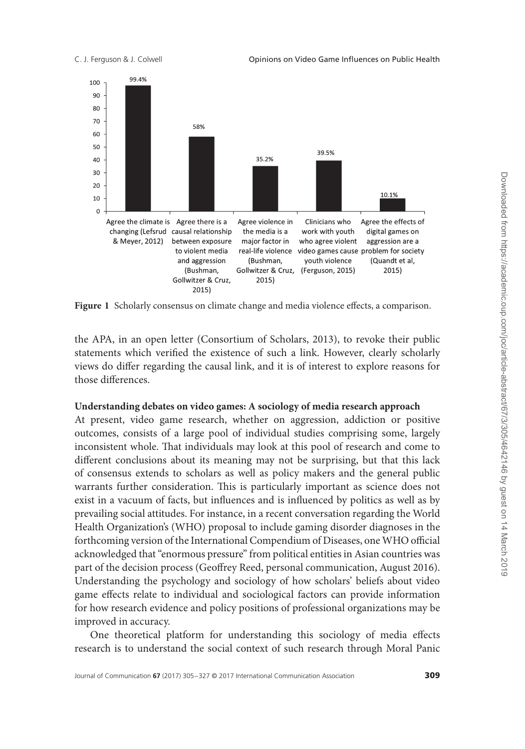

**Figure 1** Scholarly consensus on climate change and media violence effects, a comparison.

the APA, in an open letter (Consortium of Scholars, 2013), to revoke their public statements which verified the existence of such a link. However, clearly scholarly views do differ regarding the causal link, and it is of interest to explore reasons for those differences.

# **Understanding debates on video games: A sociology of media research approach**

At present, video game research, whether on aggression, addiction or positive outcomes, consists of a large pool of individual studies comprising some, largely inconsistent whole. That individuals may look at this pool of research and come to different conclusions about its meaning may not be surprising, but that this lack of consensus extends to scholars as well as policy makers and the general public warrants further consideration. This is particularly important as science does not exist in a vacuum of facts, but influences and is influenced by politics as well as by prevailing social attitudes. For instance, in a recent conversation regarding the World Health Organization's (WHO) proposal to include gaming disorder diagnoses in the forthcoming version of the International Compendium of Diseases, one WHO official acknowledged that "enormous pressure" from political entities in Asian countries was part of the decision process (Geoffrey Reed, personal communication, August 2016). Understanding the psychology and sociology of how scholars' beliefs about video game effects relate to individual and sociological factors can provide information for how research evidence and policy positions of professional organizations may be improved in accuracy.

One theoretical platform for understanding this sociology of media effects research is to understand the social context of such research through Moral Panic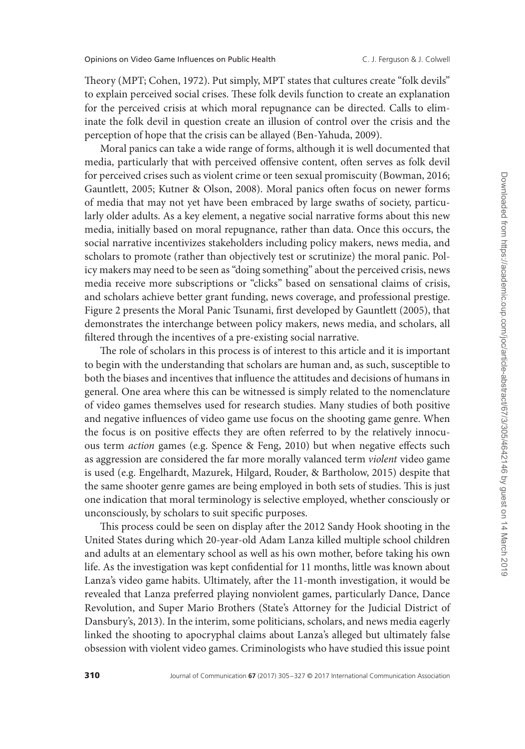Theory (MPT; Cohen, 1972). Put simply, MPT states that cultures create "folk devils" to explain perceived social crises. These folk devils function to create an explanation for the perceived crisis at which moral repugnance can be directed. Calls to eliminate the folk devil in question create an illusion of control over the crisis and the perception of hope that the crisis can be allayed (Ben-Yahuda, 2009).

Moral panics can take a wide range of forms, although it is well documented that media, particularly that with perceived offensive content, often serves as folk devil for perceived crises such as violent crime or teen sexual promiscuity (Bowman, 2016; Gauntlett, 2005; Kutner & Olson, 2008). Moral panics often focus on newer forms of media that may not yet have been embraced by large swaths of society, particularly older adults. As a key element, a negative social narrative forms about this new media, initially based on moral repugnance, rather than data. Once this occurs, the social narrative incentivizes stakeholders including policy makers, news media, and scholars to promote (rather than objectively test or scrutinize) the moral panic. Policy makers may need to be seen as "doing something" about the perceived crisis, news media receive more subscriptions or "clicks" based on sensational claims of crisis, and scholars achieve better grant funding, news coverage, and professional prestige. Figure 2 presents the Moral Panic Tsunami, first developed by Gauntlett (2005), that demonstrates the interchange between policy makers, news media, and scholars, all filtered through the incentives of a pre-existing social narrative.

The role of scholars in this process is of interest to this article and it is important to begin with the understanding that scholars are human and, as such, susceptible to both the biases and incentives that influence the attitudes and decisions of humans in general. One area where this can be witnessed is simply related to the nomenclature of video games themselves used for research studies. Many studies of both positive and negative influences of video game use focus on the shooting game genre. When the focus is on positive effects they are often referred to by the relatively innocuous term *action* games (e.g. Spence & Feng, 2010) but when negative effects such as aggression are considered the far more morally valanced term *violent* video game is used (e.g. Engelhardt, Mazurek, Hilgard, Rouder, & Bartholow, 2015) despite that the same shooter genre games are being employed in both sets of studies. This is just one indication that moral terminology is selective employed, whether consciously or unconsciously, by scholars to suit specific purposes.

This process could be seen on display after the 2012 Sandy Hook shooting in the United States during which 20-year-old Adam Lanza killed multiple school children and adults at an elementary school as well as his own mother, before taking his own life. As the investigation was kept confidential for 11 months, little was known about Lanza's video game habits. Ultimately, after the 11-month investigation, it would be revealed that Lanza preferred playing nonviolent games, particularly Dance, Dance Revolution, and Super Mario Brothers (State's Attorney for the Judicial District of Dansbury's, 2013). In the interim, some politicians, scholars, and news media eagerly linked the shooting to apocryphal claims about Lanza's alleged but ultimately false obsession with violent video games. Criminologists who have studied this issue point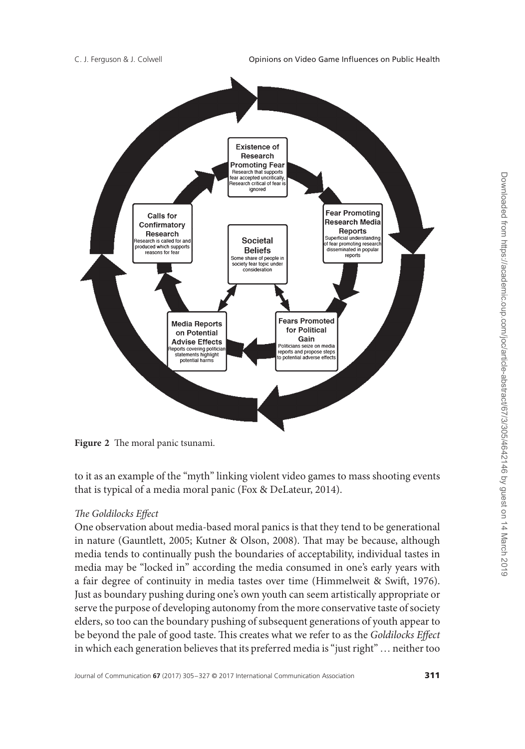

**Figure 2** The moral panic tsunami.

to it as an example of the "myth" linking violent video games to mass shooting events that is typical of a media moral panic (Fox & DeLateur, 2014).

# *The Goldilocks Effect*

One observation about media-based moral panics is that they tend to be generational in nature (Gauntlett, 2005; Kutner & Olson, 2008). That may be because, although media tends to continually push the boundaries of acceptability, individual tastes in media may be "locked in" according the media consumed in one's early years with a fair degree of continuity in media tastes over time (Himmelweit & Swift, 1976). Just as boundary pushing during one's own youth can seem artistically appropriate or serve the purpose of developing autonomy from the more conservative taste of society elders, so too can the boundary pushing of subsequent generations of youth appear to be beyond the pale of good taste. This creates what we refer to as the *Goldilocks Effect* in which each generation believes that its preferred media is "just right" ... neither too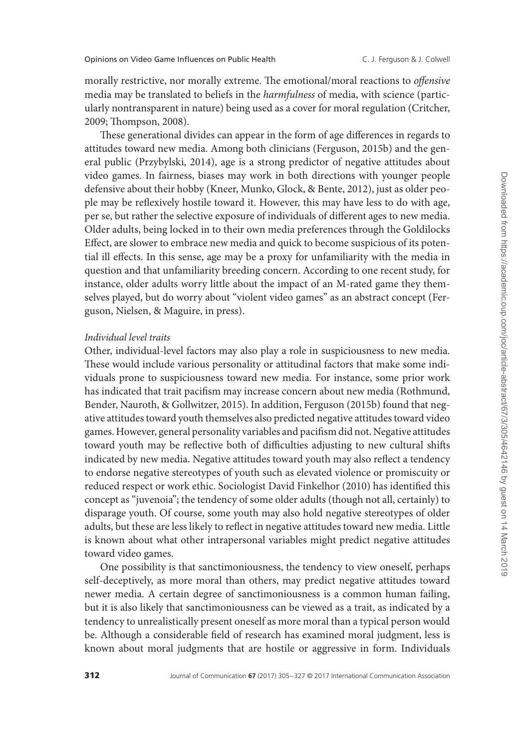morally restrictive, nor morally extreme. The emotional/moral reactions to *offensive* media may be translated to beliefs in the *harmfulness* of media, with science (particularly nontransparent in nature) being used as a cover for moral regulation (Critcher, 2009; Thompson, 2008).

These generational divides can appear in the form of age differences in regards to attitudes toward new media. Among both clinicians (Ferguson, 2015b) and the general public (Przybylski, 2014), age is a strong predictor of negative attitudes about video games. In fairness, biases may work in both directions with younger people defensive about their hobby (Kneer, Munko, Glock, & Bente, 2012), just as older people may be reflexively hostile toward it. However, this may have less to do with age, per se, but rather the selective exposure of individuals of different ages to new media. Older adults, being locked in to their own media preferences through the Goldilocks Effect, are slower to embrace new media and quick to become suspicious of its potential ill effects. In this sense, age may be a proxy for unfamiliarity with the media in question and that unfamiliarity breeding concern. According to one recent study, for instance, older adults worry little about the impact of an M-rated game they themselves played, but do worry about "violent video games" as an abstract concept (Ferguson, Nielsen, & Maguire, in press).

### *Individual level traits*

Other, individual-level factors may also play a role in suspiciousness to new media. These would include various personality or attitudinal factors that make some individuals prone to suspiciousness toward new media. For instance, some prior work has indicated that trait pacifism may increase concern about new media (Rothmund, Bender, Nauroth, & Gollwitzer, 2015). In addition, Ferguson (2015b) found that negative attitudes toward youth themselves also predicted negative attitudes toward video games. However, general personality variables and pacifism did not. Negative attitudes toward youth may be reflective both of difficulties adjusting to new cultural shifts indicated by new media. Negative attitudes toward youth may also reflect a tendency to endorse negative stereotypes of youth such as elevated violence or promiscuity or reduced respect or work ethic. Sociologist David Finkelhor (2010) has identified this concept as "juvenoia"; the tendency of some older adults (though not all, certainly) to disparage youth. Of course, some youth may also hold negative stereotypes of older adults, but these are less likely to reflect in negative attitudes toward new media. Little is known about what other intrapersonal variables might predict negative attitudes toward video games.

One possibility is that sanctimoniousness, the tendency to view oneself, perhaps self-deceptively, as more moral than others, may predict negative attitudes toward newer media. A certain degree of sanctimoniousness is a common human failing, but it is also likely that sanctimoniousness can be viewed as a trait, as indicated by a tendency to unrealistically present oneself as more moral than a typical person would be. Although a considerable field of research has examined moral judgment, less is known about moral judgments that are hostile or aggressive in form. Individuals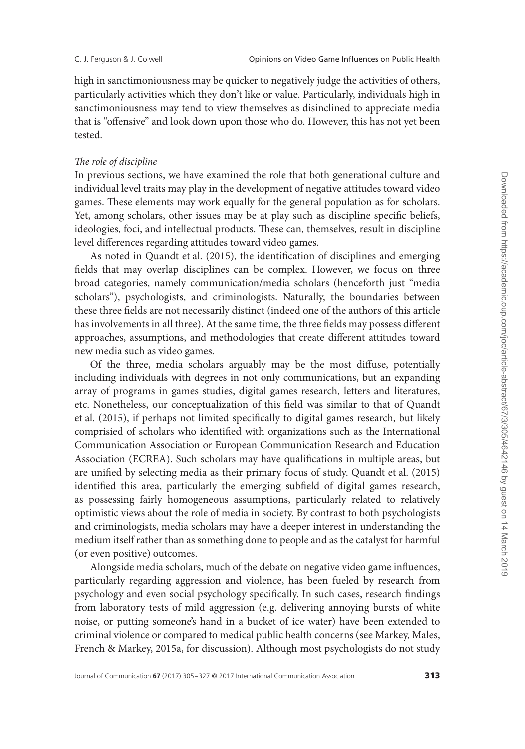high in sanctimoniousness may be quicker to negatively judge the activities of others, particularly activities which they don't like or value. Particularly, individuals high in sanctimoniousness may tend to view themselves as disinclined to appreciate media that is "offensive" and look down upon those who do. However, this has not yet been tested.

#### *The role of discipline*

In previous sections, we have examined the role that both generational culture and individual level traits may play in the development of negative attitudes toward video games. These elements may work equally for the general population as for scholars. Yet, among scholars, other issues may be at play such as discipline specific beliefs, ideologies, foci, and intellectual products. These can, themselves, result in discipline level differences regarding attitudes toward video games.

As noted in Quandt et al. (2015), the identification of disciplines and emerging fields that may overlap disciplines can be complex. However, we focus on three broad categories, namely communication/media scholars (henceforth just "media scholars"), psychologists, and criminologists. Naturally, the boundaries between these three fields are not necessarily distinct (indeed one of the authors of this article has involvements in all three). At the same time, the three fields may possess different approaches, assumptions, and methodologies that create different attitudes toward new media such as video games.

Of the three, media scholars arguably may be the most diffuse, potentially including individuals with degrees in not only communications, but an expanding array of programs in games studies, digital games research, letters and literatures, etc. Nonetheless, our conceptualization of this field was similar to that of Quandt et al. (2015), if perhaps not limited specifically to digital games research, but likely comprisied of scholars who identified with organizations such as the International Communication Association or European Communication Research and Education Association (ECREA). Such scholars may have qualifications in multiple areas, but are unified by selecting media as their primary focus of study. Quandt et al. (2015) identified this area, particularly the emerging subfield of digital games research, as possessing fairly homogeneous assumptions, particularly related to relatively optimistic views about the role of media in society. By contrast to both psychologists and criminologists, media scholars may have a deeper interest in understanding the medium itself rather than as something done to people and as the catalyst for harmful (or even positive) outcomes.

Alongside media scholars, much of the debate on negative video game influences, particularly regarding aggression and violence, has been fueled by research from psychology and even social psychology specifically. In such cases, research findings from laboratory tests of mild aggression (e.g. delivering annoying bursts of white noise, or putting someone's hand in a bucket of ice water) have been extended to criminal violence or compared to medical public health concerns (see Markey, Males, French & Markey, 2015a, for discussion). Although most psychologists do not study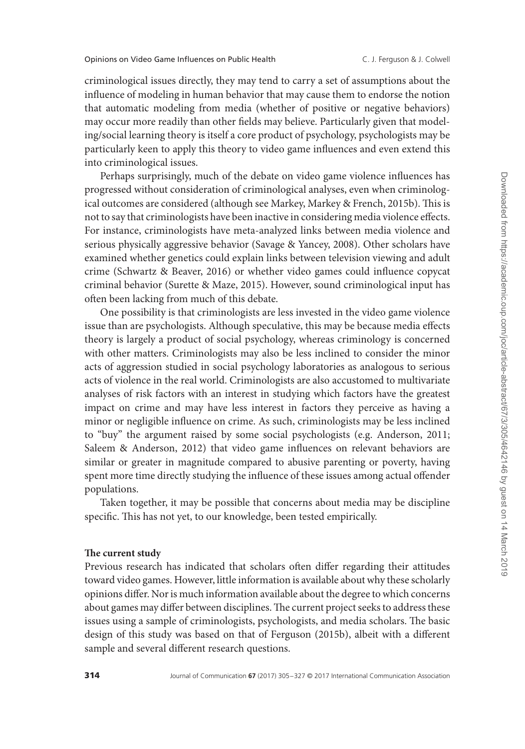criminological issues directly, they may tend to carry a set of assumptions about the influence of modeling in human behavior that may cause them to endorse the notion that automatic modeling from media (whether of positive or negative behaviors) may occur more readily than other fields may believe. Particularly given that modeling/social learning theory is itself a core product of psychology, psychologists may be particularly keen to apply this theory to video game influences and even extend this into criminological issues.

Perhaps surprisingly, much of the debate on video game violence influences has progressed without consideration of criminological analyses, even when criminological outcomes are considered (although see Markey, Markey & French, 2015b). This is not to say that criminologists have been inactive in considering media violence effects. For instance, criminologists have meta-analyzed links between media violence and serious physically aggressive behavior (Savage & Yancey, 2008). Other scholars have examined whether genetics could explain links between television viewing and adult crime (Schwartz & Beaver, 2016) or whether video games could influence copycat criminal behavior (Surette & Maze, 2015). However, sound criminological input has often been lacking from much of this debate.

One possibility is that criminologists are less invested in the video game violence issue than are psychologists. Although speculative, this may be because media effects theory is largely a product of social psychology, whereas criminology is concerned with other matters. Criminologists may also be less inclined to consider the minor acts of aggression studied in social psychology laboratories as analogous to serious acts of violence in the real world. Criminologists are also accustomed to multivariate analyses of risk factors with an interest in studying which factors have the greatest impact on crime and may have less interest in factors they perceive as having a minor or negligible influence on crime. As such, criminologists may be less inclined to "buy" the argument raised by some social psychologists (e.g. Anderson, 2011; Saleem & Anderson, 2012) that video game influences on relevant behaviors are similar or greater in magnitude compared to abusive parenting or poverty, having spent more time directly studying the influence of these issues among actual offender populations.

Taken together, it may be possible that concerns about media may be discipline specific. This has not yet, to our knowledge, been tested empirically.

#### **The current study**

Previous research has indicated that scholars often differ regarding their attitudes toward video games. However, little information is available about why these scholarly opinions differ. Nor is much information available about the degree to which concerns about games may differ between disciplines.The current project seeks to address these issues using a sample of criminologists, psychologists, and media scholars. The basic design of this study was based on that of Ferguson (2015b), albeit with a different sample and several different research questions.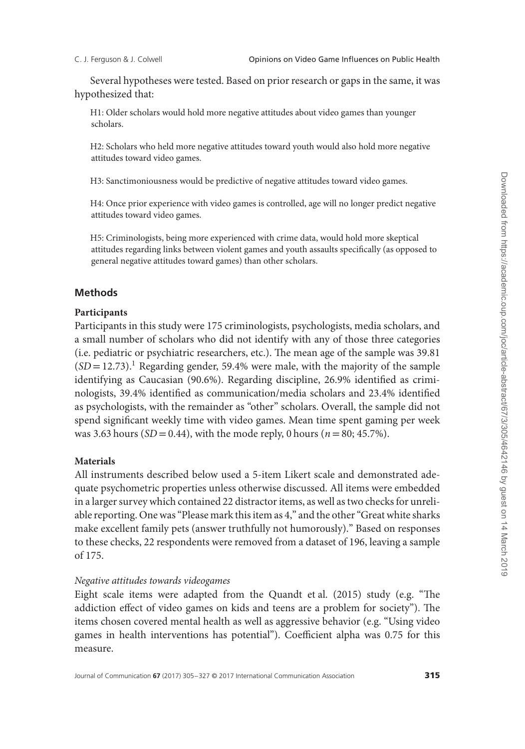Several hypotheses were tested. Based on prior research or gaps in the same, it was hypothesized that:

H1: Older scholars would hold more negative attitudes about video games than younger scholars.

H2: Scholars who held more negative attitudes toward youth would also hold more negative attitudes toward video games.

H3: Sanctimoniousness would be predictive of negative attitudes toward video games.

H4: Once prior experience with video games is controlled, age will no longer predict negative attitudes toward video games.

H5: Criminologists, being more experienced with crime data, would hold more skeptical attitudes regarding links between violent games and youth assaults specifically (as opposed to general negative attitudes toward games) than other scholars.

# **Methods**

#### **Participants**

Participants in this study were 175 criminologists, psychologists, media scholars, and a small number of scholars who did not identify with any of those three categories (i.e. pediatric or psychiatric researchers, etc.). The mean age of the sample was 39.81  $(SD = 12.73).$ <sup>1</sup> Regarding gender, 59.4% were male, with the majority of the sample identifying as Caucasian (90.6%). Regarding discipline, 26.9% identified as criminologists, 39.4% identified as communication/media scholars and 23.4% identified as psychologists, with the remainder as "other" scholars. Overall, the sample did not spend significant weekly time with video games. Mean time spent gaming per week was 3.63 hours (*SD* = 0.44), with the mode reply, 0 hours ( $n = 80$ ; 45.7%).

#### **Materials**

All instruments described below used a 5-item Likert scale and demonstrated adequate psychometric properties unless otherwise discussed. All items were embedded in a larger survey which contained 22 distractor items, as well as two checks for unreliable reporting. One was "Please mark this item as 4," and the other "Great white sharks make excellent family pets (answer truthfully not humorously)." Based on responses to these checks, 22 respondents were removed from a dataset of 196, leaving a sample of 175.

#### *Negative attitudes towards videogames*

Eight scale items were adapted from the Quandt et al. (2015) study (e.g. "The addiction effect of video games on kids and teens are a problem for society"). The items chosen covered mental health as well as aggressive behavior (e.g. "Using video games in health interventions has potential"). Coefficient alpha was 0.75 for this measure.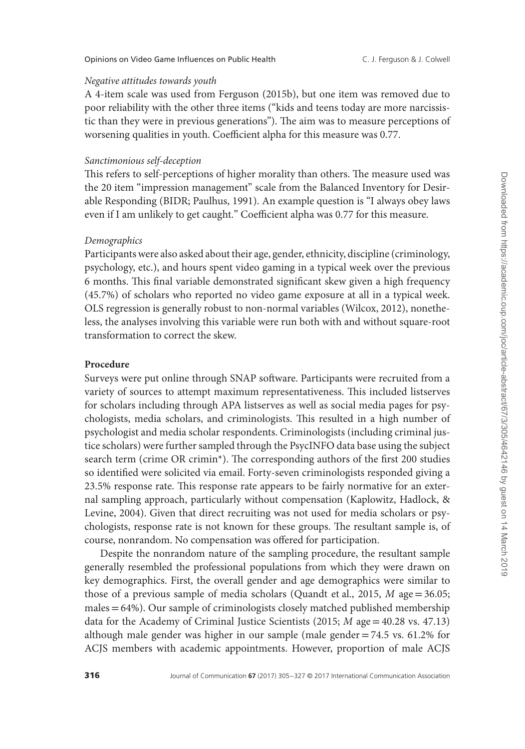Opinions on Video Game Influences on Public Health **C. J. Ferguson & J. Colwell** 

#### *Negative attitudes towards youth*

A 4-item scale was used from Ferguson (2015b), but one item was removed due to poor reliability with the other three items ("kids and teens today are more narcissistic than they were in previous generations"). The aim was to measure perceptions of worsening qualities in youth. Coefficient alpha for this measure was 0.77.

# *Sanctimonious self-deception*

This refers to self-perceptions of higher morality than others. The measure used was the 20 item "impression management" scale from the Balanced Inventory for Desirable Responding (BIDR; Paulhus, 1991). An example question is "I always obey laws even if I am unlikely to get caught." Coefficient alpha was 0.77 for this measure.

### *Demographics*

Participants were also asked about their age, gender, ethnicity, discipline (criminology, psychology, etc.), and hours spent video gaming in a typical week over the previous 6 months. This final variable demonstrated significant skew given a high frequency (45.7%) of scholars who reported no video game exposure at all in a typical week. OLS regression is generally robust to non-normal variables (Wilcox, 2012), nonetheless, the analyses involving this variable were run both with and without square-root transformation to correct the skew.

# **Procedure**

Surveys were put online through SNAP software. Participants were recruited from a variety of sources to attempt maximum representativeness. This included listserves for scholars including through APA listserves as well as social media pages for psychologists, media scholars, and criminologists. This resulted in a high number of psychologist and media scholar respondents. Criminologists (including criminal justice scholars) were further sampled through the PsycINFO data base using the subject search term (crime OR crimin\*). The corresponding authors of the first 200 studies so identified were solicited via email. Forty-seven criminologists responded giving a 23.5% response rate. This response rate appears to be fairly normative for an external sampling approach, particularly without compensation (Kaplowitz, Hadlock, & Levine, 2004). Given that direct recruiting was not used for media scholars or psychologists, response rate is not known for these groups. The resultant sample is, of course, nonrandom. No compensation was offered for participation.

Despite the nonrandom nature of the sampling procedure, the resultant sample generally resembled the professional populations from which they were drawn on key demographics. First, the overall gender and age demographics were similar to those of a previous sample of media scholars (Quandt et al., 2015, *M* age = 36.05; males  $=64%$ ). Our sample of criminologists closely matched published membership data for the Academy of Criminal Justice Scientists (2015;  $M$  age = 40.28 vs. 47.13) although male gender was higher in our sample (male gender  $=74.5$  vs. 61.2% for ACJS members with academic appointments. However, proportion of male ACJS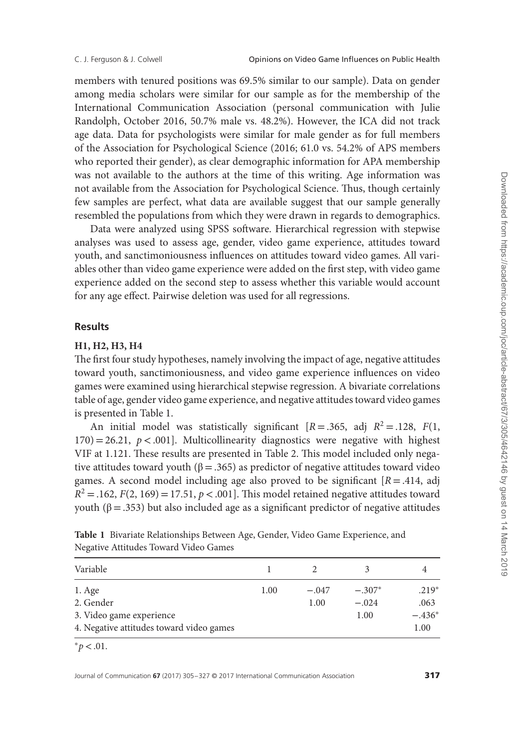members with tenured positions was 69.5% similar to our sample). Data on gender among media scholars were similar for our sample as for the membership of the International Communication Association (personal communication with Julie Randolph, October 2016, 50.7% male vs. 48.2%). However, the ICA did not track age data. Data for psychologists were similar for male gender as for full members of the Association for Psychological Science (2016; 61.0 vs. 54.2% of APS members who reported their gender), as clear demographic information for APA membership was not available to the authors at the time of this writing. Age information was not available from the Association for Psychological Science. Thus, though certainly few samples are perfect, what data are available suggest that our sample generally resembled the populations from which they were drawn in regards to demographics.

Data were analyzed using SPSS software. Hierarchical regression with stepwise analyses was used to assess age, gender, video game experience, attitudes toward youth, and sanctimoniousness influences on attitudes toward video games. All variables other than video game experience were added on the first step, with video game experience added on the second step to assess whether this variable would account for any age effect. Pairwise deletion was used for all regressions.

# **Results**

# **H1, H2, H3, H4**

The first four study hypotheses, namely involving the impact of age, negative attitudes toward youth, sanctimoniousness, and video game experience influences on video games were examined using hierarchical stepwise regression. A bivariate correlations table of age, gender video game experience, and negative attitudes toward video games is presented in Table 1.

An initial model was statistically significant  $[R=.365,$  adj  $R^2=.128, F(1,$  $170$ ) = 26.21,  $p < .001$ ]. Multicollinearity diagnostics were negative with highest VIF at 1.121. These results are presented in Table 2. This model included only negative attitudes toward youth ( $\beta$  = .365) as predictor of negative attitudes toward video games. A second model including age also proved to be significant [*R*=.414, adj  $R^2 = .162$ ,  $F(2, 169) = 17.51$ ,  $p < .001$ . This model retained negative attitudes toward youth ( $β = .353$ ) but also included age as a significant predictor of negative attitudes

Variable 1 2 3 4 1. Age 1.00 −*.*047 −*.307<sup>\*</sup> <i>.*219<sup>\*</sup> 2. Gender 1*.*00 −*.*024 *.*063 3. Video game experience 1*.*00 −*.*436<sup>∗</sup> 4. Negative attitudes toward video games 1*.*00

**Table 1** Bivariate Relationships Between Age, Gender, Video Game Experience, and Negative Attitudes Toward Video Games

<sup>∗</sup>*p<*.01.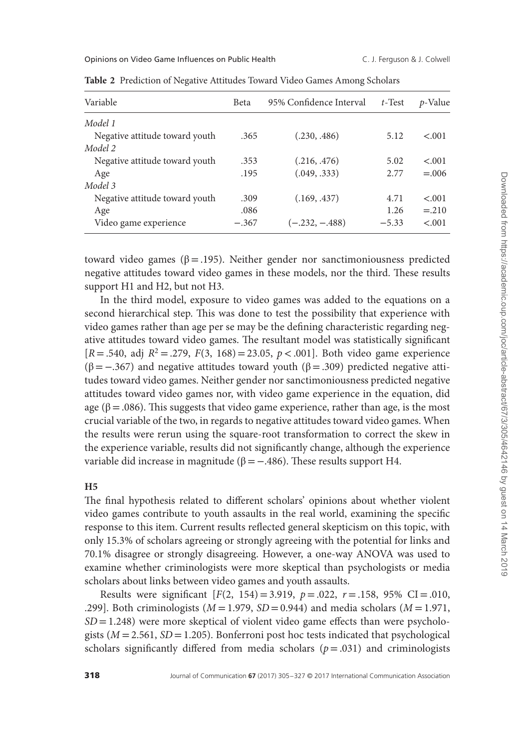Opinions on Video Game Influences on Public Health C. J. Ferguson & J. Colwell

| Variable                                  | <b>Beta</b> | 95% Confidence Interval | $t$ -Test | <i>p</i> -Value |
|-------------------------------------------|-------------|-------------------------|-----------|-----------------|
| Model 1                                   |             |                         |           |                 |
| Negative attitude toward youth            | .365        | (.230, .486)            | 5.12      | $-.001$         |
| Model 2<br>Negative attitude toward youth | .353        | (.216, .476)            | 5.02      | $-.001$         |
| Age                                       | .195        | (.049, .333)            | 2.77      | $=.006$         |
| Model 3                                   |             |                         |           |                 |
| Negative attitude toward youth            | .309        | (.169, .437)            | 4.71      | $-.001$         |
| Age                                       | .086        |                         | 1.26      | $=.210$         |
| Video game experience                     | $-.367$     | $(-.232, -.488)$        | $-5.33$   | $-.001$         |

**Table 2** Prediction of Negative Attitudes Toward Video Games Among Scholars

toward video games ( $β = .195$ ). Neither gender nor sanctimoniousness predicted negative attitudes toward video games in these models, nor the third. These results support H1 and H2, but not H3.

In the third model, exposure to video games was added to the equations on a second hierarchical step. This was done to test the possibility that experience with video games rather than age per se may be the defining characteristic regarding negative attitudes toward video games. The resultant model was statistically significant  $[R = .540, \text{ adj } R^2 = .279, F(3, 168) = 23.05, p < .001]$ . Both video game experience ( $\beta$ =−.367) and negative attitudes toward youth ( $\beta$ =.309) predicted negative attitudes toward video games. Neither gender nor sanctimoniousness predicted negative attitudes toward video games nor, with video game experience in the equation, did age ( $\beta$  = .086). This suggests that video game experience, rather than age, is the most crucial variable of the two, in regards to negative attitudes toward video games. When the results were rerun using the square-root transformation to correct the skew in the experience variable, results did not significantly change, although the experience variable did increase in magnitude ( $β = -0.486$ ). These results support H4.

# **H5**

The final hypothesis related to different scholars' opinions about whether violent video games contribute to youth assaults in the real world, examining the specific response to this item. Current results reflected general skepticism on this topic, with only 15.3% of scholars agreeing or strongly agreeing with the potential for links and 70.1% disagree or strongly disagreeing. However, a one-way ANOVA was used to examine whether criminologists were more skeptical than psychologists or media scholars about links between video games and youth assaults.

Results were significant  $[F(2, 154) = 3.919, p = .022, r = .158, 95\% \text{ CI} = .010,$ .299]. Both criminologists (*M* =1.979, *SD* =0.944) and media scholars (*M* =1.971,  $SD = 1.248$ ) were more skeptical of violent video game effects than were psychologists (*M* =2.561, *SD* =1.205). Bonferroni post hoc tests indicated that psychological scholars significantly differed from media scholars  $(p = .031)$  and criminologists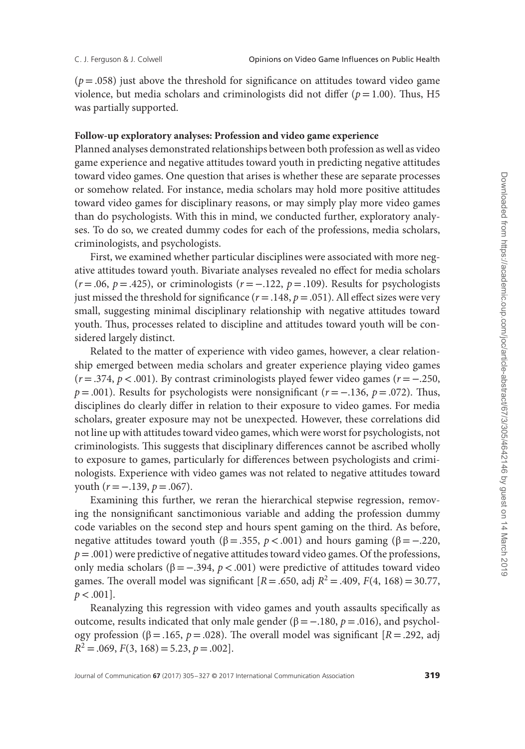$(p=.058)$  just above the threshold for significance on attitudes toward video game violence, but media scholars and criminologists did not differ  $(p=1.00)$ . Thus, H5 was partially supported.

### **Follow-up exploratory analyses: Profession and video game experience**

Planned analyses demonstrated relationships between both profession as well as video game experience and negative attitudes toward youth in predicting negative attitudes toward video games. One question that arises is whether these are separate processes or somehow related. For instance, media scholars may hold more positive attitudes toward video games for disciplinary reasons, or may simply play more video games than do psychologists. With this in mind, we conducted further, exploratory analyses. To do so, we created dummy codes for each of the professions, media scholars, criminologists, and psychologists.

First, we examined whether particular disciplines were associated with more negative attitudes toward youth. Bivariate analyses revealed no effect for media scholars (*r* =.06, *p*=.425), or criminologists (*r* = −.122, *p*=.109). Results for psychologists just missed the threshold for significance ( $r = .148$ ,  $p = .051$ ). All effect sizes were very small, suggesting minimal disciplinary relationship with negative attitudes toward youth. Thus, processes related to discipline and attitudes toward youth will be considered largely distinct.

Related to the matter of experience with video games, however, a clear relationship emerged between media scholars and greater experience playing video games (*r* =.374, *p<*.001). By contrast criminologists played fewer video games (*r* = −.250, *p* = .001). Results for psychologists were nonsignificant (*r* = −.136, *p* = .072). Thus, disciplines do clearly differ in relation to their exposure to video games. For media scholars, greater exposure may not be unexpected. However, these correlations did not line up with attitudes toward video games, which were worst for psychologists, not criminologists. This suggests that disciplinary differences cannot be ascribed wholly to exposure to games, particularly for differences between psychologists and criminologists. Experience with video games was not related to negative attitudes toward youth (*r* = −.139, *p*=.067).

Examining this further, we reran the hierarchical stepwise regression, removing the nonsignificant sanctimonious variable and adding the profession dummy code variables on the second step and hours spent gaming on the third. As before, negative attitudes toward youth ( $β = .355$ ,  $p < .001$ ) and hours gaming ( $β = -.220$ ,  $p = .001$ ) were predictive of negative attitudes toward video games. Of the professions, only media scholars (β=−.394, *p<*.001) were predictive of attitudes toward video games. The overall model was significant  $[R = .650, \text{ adj } R^2 = .409, F(4, 168) = 30.77,$ *p<*.001].

Reanalyzing this regression with video games and youth assaults specifically as outcome, results indicated that only male gender (β=−.180, *p*=.016), and psychology profession (β =.165, *p*=.028). The overall model was significant [*R*=.292, adj  $R^2 = .069, F(3, 168) = 5.23, p = .002$ .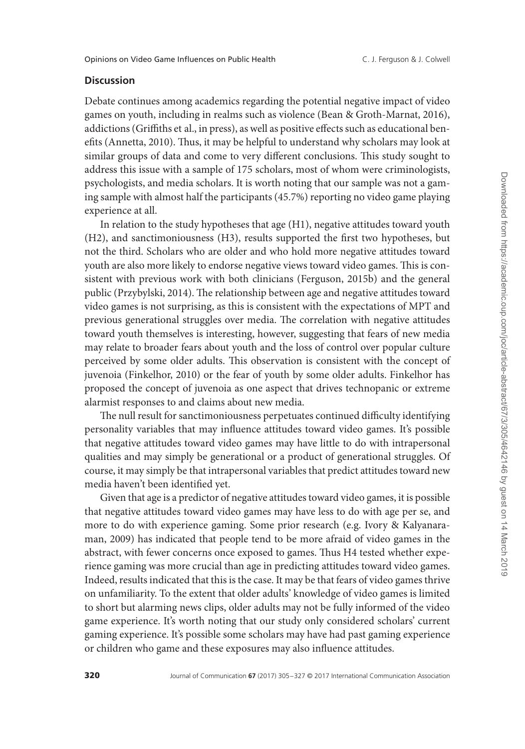# **Discussion**

Debate continues among academics regarding the potential negative impact of video games on youth, including in realms such as violence (Bean & Groth-Marnat, 2016), addictions (Griffiths et al., in press), as well as positive effects such as educational benefits (Annetta, 2010). Thus, it may be helpful to understand why scholars may look at similar groups of data and come to very different conclusions. This study sought to address this issue with a sample of 175 scholars, most of whom were criminologists, psychologists, and media scholars. It is worth noting that our sample was not a gaming sample with almost half the participants (45.7%) reporting no video game playing experience at all.

In relation to the study hypotheses that age (H1), negative attitudes toward youth (H2), and sanctimoniousness (H3), results supported the first two hypotheses, but not the third. Scholars who are older and who hold more negative attitudes toward youth are also more likely to endorse negative views toward video games. This is consistent with previous work with both clinicians (Ferguson, 2015b) and the general public (Przybylski, 2014). The relationship between age and negative attitudes toward video games is not surprising, as this is consistent with the expectations of MPT and previous generational struggles over media. The correlation with negative attitudes toward youth themselves is interesting, however, suggesting that fears of new media may relate to broader fears about youth and the loss of control over popular culture perceived by some older adults. This observation is consistent with the concept of juvenoia (Finkelhor, 2010) or the fear of youth by some older adults. Finkelhor has proposed the concept of juvenoia as one aspect that drives technopanic or extreme alarmist responses to and claims about new media.

The null result for sanctimoniousness perpetuates continued difficulty identifying personality variables that may influence attitudes toward video games. It's possible that negative attitudes toward video games may have little to do with intrapersonal qualities and may simply be generational or a product of generational struggles. Of course, it may simply be that intrapersonal variables that predict attitudes toward new media haven't been identified yet.

Given that age is a predictor of negative attitudes toward video games, it is possible that negative attitudes toward video games may have less to do with age per se, and more to do with experience gaming. Some prior research (e.g. Ivory & Kalyanaraman, 2009) has indicated that people tend to be more afraid of video games in the abstract, with fewer concerns once exposed to games. Thus H4 tested whether experience gaming was more crucial than age in predicting attitudes toward video games. Indeed, results indicated that this is the case. It may be that fears of video games thrive on unfamiliarity. To the extent that older adults' knowledge of video games is limited to short but alarming news clips, older adults may not be fully informed of the video game experience. It's worth noting that our study only considered scholars' current gaming experience. It's possible some scholars may have had past gaming experience or children who game and these exposures may also influence attitudes.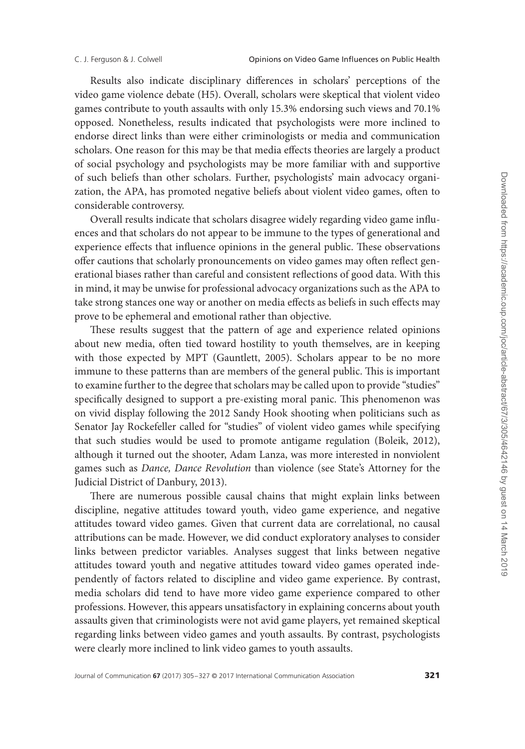Results also indicate disciplinary differences in scholars' perceptions of the video game violence debate (H5). Overall, scholars were skeptical that violent video games contribute to youth assaults with only 15.3% endorsing such views and 70.1% opposed. Nonetheless, results indicated that psychologists were more inclined to endorse direct links than were either criminologists or media and communication scholars. One reason for this may be that media effects theories are largely a product of social psychology and psychologists may be more familiar with and supportive of such beliefs than other scholars. Further, psychologists' main advocacy organization, the APA, has promoted negative beliefs about violent video games, often to considerable controversy.

Overall results indicate that scholars disagree widely regarding video game influences and that scholars do not appear to be immune to the types of generational and experience effects that influence opinions in the general public. These observations offer cautions that scholarly pronouncements on video games may often reflect generational biases rather than careful and consistent reflections of good data. With this in mind, it may be unwise for professional advocacy organizations such as the APA to take strong stances one way or another on media effects as beliefs in such effects may prove to be ephemeral and emotional rather than objective.

These results suggest that the pattern of age and experience related opinions about new media, often tied toward hostility to youth themselves, are in keeping with those expected by MPT (Gauntlett, 2005). Scholars appear to be no more immune to these patterns than are members of the general public. This is important to examine further to the degree that scholars may be called upon to provide "studies" specifically designed to support a pre-existing moral panic. This phenomenon was on vivid display following the 2012 Sandy Hook shooting when politicians such as Senator Jay Rockefeller called for "studies" of violent video games while specifying that such studies would be used to promote antigame regulation (Boleik, 2012), although it turned out the shooter, Adam Lanza, was more interested in nonviolent games such as *Dance, Dance Revolution* than violence (see State's Attorney for the Judicial District of Danbury, 2013).

There are numerous possible causal chains that might explain links between discipline, negative attitudes toward youth, video game experience, and negative attitudes toward video games. Given that current data are correlational, no causal attributions can be made. However, we did conduct exploratory analyses to consider links between predictor variables. Analyses suggest that links between negative attitudes toward youth and negative attitudes toward video games operated independently of factors related to discipline and video game experience. By contrast, media scholars did tend to have more video game experience compared to other professions. However, this appears unsatisfactory in explaining concerns about youth assaults given that criminologists were not avid game players, yet remained skeptical regarding links between video games and youth assaults. By contrast, psychologists were clearly more inclined to link video games to youth assaults.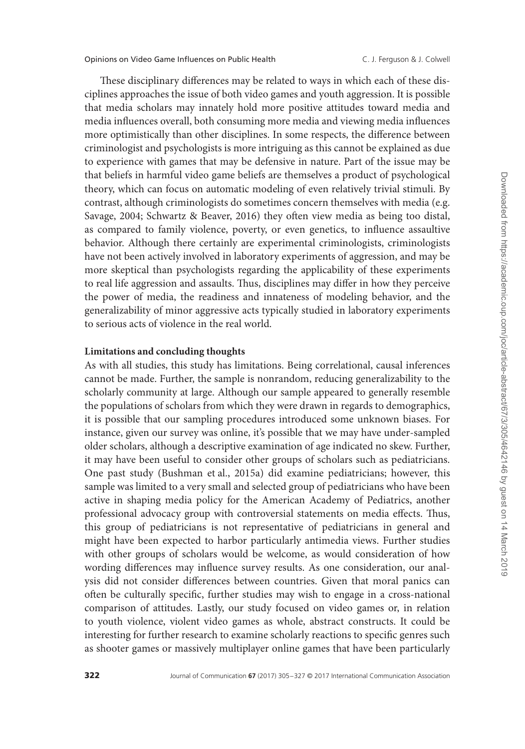These disciplinary differences may be related to ways in which each of these disciplines approaches the issue of both video games and youth aggression. It is possible that media scholars may innately hold more positive attitudes toward media and media influences overall, both consuming more media and viewing media influences more optimistically than other disciplines. In some respects, the difference between criminologist and psychologists is more intriguing as this cannot be explained as due to experience with games that may be defensive in nature. Part of the issue may be that beliefs in harmful video game beliefs are themselves a product of psychological theory, which can focus on automatic modeling of even relatively trivial stimuli. By contrast, although criminologists do sometimes concern themselves with media (e.g. Savage, 2004; Schwartz & Beaver, 2016) they often view media as being too distal, as compared to family violence, poverty, or even genetics, to influence assaultive behavior. Although there certainly are experimental criminologists, criminologists have not been actively involved in laboratory experiments of aggression, and may be more skeptical than psychologists regarding the applicability of these experiments to real life aggression and assaults. Thus, disciplines may differ in how they perceive the power of media, the readiness and innateness of modeling behavior, and the generalizability of minor aggressive acts typically studied in laboratory experiments to serious acts of violence in the real world.

# **Limitations and concluding thoughts**

As with all studies, this study has limitations. Being correlational, causal inferences cannot be made. Further, the sample is nonrandom, reducing generalizability to the scholarly community at large. Although our sample appeared to generally resemble the populations of scholars from which they were drawn in regards to demographics, it is possible that our sampling procedures introduced some unknown biases. For instance, given our survey was online, it's possible that we may have under-sampled older scholars, although a descriptive examination of age indicated no skew. Further, it may have been useful to consider other groups of scholars such as pediatricians. One past study (Bushman et al., 2015a) did examine pediatricians; however, this sample was limited to a very small and selected group of pediatricians who have been active in shaping media policy for the American Academy of Pediatrics, another professional advocacy group with controversial statements on media effects. Thus, this group of pediatricians is not representative of pediatricians in general and might have been expected to harbor particularly antimedia views. Further studies with other groups of scholars would be welcome, as would consideration of how wording differences may influence survey results. As one consideration, our analysis did not consider differences between countries. Given that moral panics can often be culturally specific, further studies may wish to engage in a cross-national comparison of attitudes. Lastly, our study focused on video games or, in relation to youth violence, violent video games as whole, abstract constructs. It could be interesting for further research to examine scholarly reactions to specific genres such as shooter games or massively multiplayer online games that have been particularly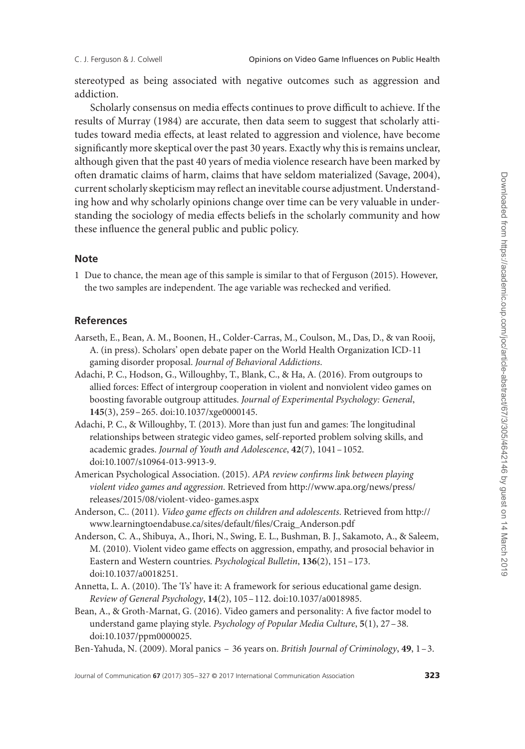stereotyped as being associated with negative outcomes such as aggression and addiction.

Scholarly consensus on media effects continues to prove difficult to achieve. If the results of Murray (1984) are accurate, then data seem to suggest that scholarly attitudes toward media effects, at least related to aggression and violence, have become significantly more skeptical over the past 30 years. Exactly why this is remains unclear, although given that the past 40 years of media violence research have been marked by often dramatic claims of harm, claims that have seldom materialized (Savage, 2004), current scholarly skepticism may reflect an inevitable course adjustment. Understanding how and why scholarly opinions change over time can be very valuable in understanding the sociology of media effects beliefs in the scholarly community and how these influence the general public and public policy.

# **Note**

1 Due to chance, the mean age of this sample is similar to that of Ferguson (2015). However, the two samples are independent. The age variable was rechecked and verified.

### **References**

- Aarseth, E., Bean, A. M., Boonen, H., Colder-Carras, M., Coulson, M., Das, D., & van Rooij, A. (in press). Scholars' open debate paper on the World Health Organization ICD-11 gaming disorder proposal. *Journal of Behavioral Addictions*.
- Adachi, P. C., Hodson, G., Willoughby, T., Blank, C., & Ha, A. (2016). From outgroups to allied forces: Effect of intergroup cooperation in violent and nonviolent video games on boosting favorable outgroup attitudes. *Journal of Experimental Psychology: General*, **145**(3), 259–265. doi:10.1037/xge0000145.
- Adachi, P. C., & Willoughby, T. (2013). More than just fun and games: The longitudinal relationships between strategic video games, self-reported problem solving skills, and academic grades. *Journal of Youth and Adolescence*, **42**(7), 1041–1052. doi:10.1007/s10964-013-9913-9.
- American Psychological Association. (2015). *APA review confirms link between playing violent video games and aggression*. Retrieved from [http://www.apa.org/news/press/](http://www.apa.org/news/press/releases/2015/08/violent-video-games.aspx) [releases/2015/08/violent-video-games.aspx](http://www.apa.org/news/press/releases/2015/08/violent-video-games.aspx)
- Anderson, C.. (2011). *Video game effects on children and adolescents*. Retrieved from [http://](http://www.learningtoendabuse.ca/sites/default/files/Craig_Anderson.pdf) [www.learningtoendabuse.ca/sites/default/files/Craig\\_Anderson.pdf](http://www.learningtoendabuse.ca/sites/default/files/Craig_Anderson.pdf)
- Anderson, C. A., Shibuya, A., Ihori, N., Swing, E. L., Bushman, B. J., Sakamoto, A., & Saleem, M. (2010). Violent video game effects on aggression, empathy, and prosocial behavior in Eastern and Western countries. *Psychological Bulletin*, **136**(2), 151–173. doi:10.1037/a0018251.
- Annetta, L. A. (2010). The 'I's' have it: A framework for serious educational game design. *Review of General Psychology*, **14**(2), 105–112. doi:10.1037/a0018985.
- Bean, A., & Groth-Marnat, G. (2016). Video gamers and personality: A five factor model to understand game playing style. *Psychology of Popular Media Culture*, **5**(1), 27–38. doi:10.1037/ppm0000025.

Ben-Yahuda, N. (2009). Moral panics – 36 years on. *British Journal of Criminology*, **49**, 1–3.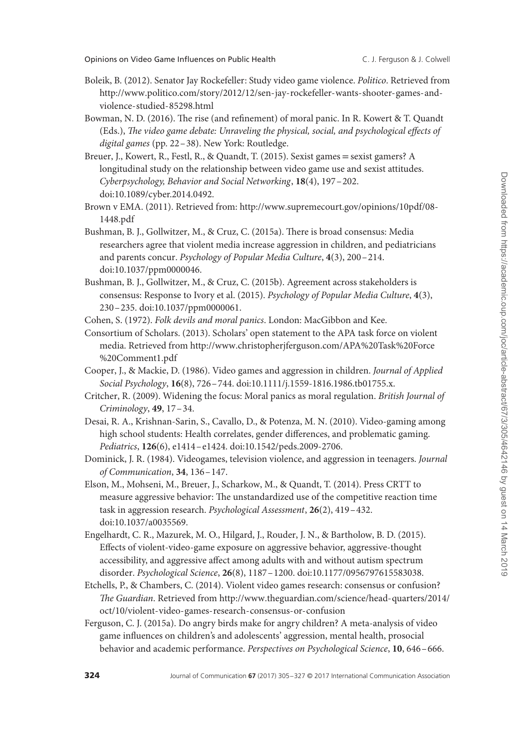Opinions on Video Game Influences on Public Health C. J. Ferguson & J. Colwell

- Boleik, B. (2012). Senator Jay Rockefeller: Study video game violence. *Politico*. Retrieved from [http://www.politico.com/story/2012/12/sen-jay-rockefeller-wants-shooter-games-and](http://www.politico.com/story/2012/12/sen-jay-rockefeller-wants-shooter-games-and-violence-studied-85298.html)[violence-studied-85298.html](http://www.politico.com/story/2012/12/sen-jay-rockefeller-wants-shooter-games-and-violence-studied-85298.html)
- Bowman, N. D. (2016). The rise (and refinement) of moral panic. In R. Kowert & T. Quandt (Eds.), *The video game debate: Unraveling the physical, social, and psychological effects of digital games* (pp. 22–38). New York: Routledge.
- Breuer, J., Kowert, R., Festl, R., & Quandt, T. (2015). Sexist games=sexist gamers? A longitudinal study on the relationship between video game use and sexist attitudes. *Cyberpsychology, Behavior and Social Networking*, **18**(4), 197–202. doi:10.1089/cyber.2014.0492.
- Brown v EMA. (2011). Retrieved from: [http://www.supremecourt.gov/opinions/10pdf/08-](http://www.supremecourt.gov/opinions/10pdf/08-1448.pdf) [1448.pdf](http://www.supremecourt.gov/opinions/10pdf/08-1448.pdf)
- Bushman, B. J., Gollwitzer, M., & Cruz, C. (2015a). There is broad consensus: Media researchers agree that violent media increase aggression in children, and pediatricians and parents concur. *Psychology of Popular Media Culture*, **4**(3), 200–214. doi:10.1037/ppm0000046.
- Bushman, B. J., Gollwitzer, M., & Cruz, C. (2015b). Agreement across stakeholders is consensus: Response to Ivory et al. (2015). *Psychology of Popular Media Culture*, **4**(3), 230–235. doi:10.1037/ppm0000061.

Cohen, S. (1972). *Folk devils and moral panics*. London: MacGibbon and Kee.

- Consortium of Scholars. (2013). Scholars' open statement to the APA task force on violent media. Retrieved from [http://www.christopherjferguson.com/APA%20Task%20Force](http://www.christopherjferguson.com/APA%20Task%20Force%20Comment1.pdf) [%20Comment1.pdf](http://www.christopherjferguson.com/APA%20Task%20Force%20Comment1.pdf)
- Cooper, J., & Mackie, D. (1986). Video games and aggression in children. *Journal of Applied Social Psychology*, **16**(8), 726–744. doi:10.1111/j.1559-1816.1986.tb01755.x.
- Critcher, R. (2009). Widening the focus: Moral panics as moral regulation. *British Journal of Criminology*, **49**, 17–34.
- Desai, R. A., Krishnan-Sarin, S., Cavallo, D., & Potenza, M. N. (2010). Video-gaming among high school students: Health correlates, gender differences, and problematic gaming. *Pediatrics*, **126**(6), e1414–e1424. doi:10.1542/peds.2009-2706.
- Dominick, J. R. (1984). Videogames, television violence, and aggression in teenagers. *Journal of Communication*, **34**, 136–147.
- Elson, M., Mohseni, M., Breuer, J., Scharkow, M., & Quandt, T. (2014). Press CRTT to measure aggressive behavior: The unstandardized use of the competitive reaction time task in aggression research. *Psychological Assessment*, **26**(2), 419–432. doi:10.1037/a0035569.
- Engelhardt, C. R., Mazurek, M. O., Hilgard, J., Rouder, J. N., & Bartholow, B. D. (2015). Effects of violent-video-game exposure on aggressive behavior, aggressive-thought accessibility, and aggressive affect among adults with and without autism spectrum disorder. *Psychological Science*, **26**(8), 1187–1200. doi:10.1177/0956797615583038.
- Etchells, P., & Chambers, C. (2014). Violent video games research: consensus or confusion? *The Guardian*. Retrieved from [http://www.theguardian.com/science/head-quarters/2014/](http://www.theguardian.com/science/head-quarters/2014/oct/10/violent-video-games-research-consensus-or-confusion) [oct/10/violent-video-games-research-consensus-or-confusion](http://www.theguardian.com/science/head-quarters/2014/oct/10/violent-video-games-research-consensus-or-confusion)
- Ferguson, C. J. (2015a). Do angry birds make for angry children? A meta-analysis of video game influences on children's and adolescents' aggression, mental health, prosocial behavior and academic performance. *Perspectives on Psychological Science*, **10**, 646–666.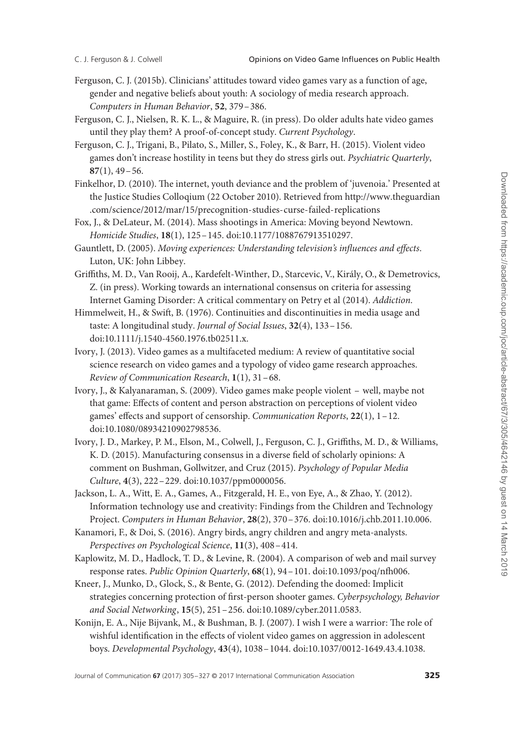- Ferguson, C. J. (2015b). Clinicians' attitudes toward video games vary as a function of age, gender and negative beliefs about youth: A sociology of media research approach. *Computers in Human Behavior*, **52**, 379–386.
- Ferguson, C. J., Nielsen, R. K. L., & Maguire, R. (in press). Do older adults hate video games until they play them? A proof-of-concept study. *Current Psychology*.
- Ferguson, C. J., Trigani, B., Pilato, S., Miller, S., Foley, K., & Barr, H. (2015). Violent video games don't increase hostility in teens but they do stress girls out. *Psychiatric Quarterly*, **87**(1), 49–56.
- Finkelhor, D. (2010). The internet, youth deviance and the problem of 'juvenoia.' Presented at the Justice Studies Colloqium (22 October 2010). Retrieved from [http://www.theguardian](http://www.theguardian.com/science/2012/mar/15/precognition-studies-curse-failed-replications) [.com/science/2012/mar/15/precognition-studies-curse-failed-replications](http://www.theguardian.com/science/2012/mar/15/precognition-studies-curse-failed-replications)
- Fox, J., & DeLateur, M. (2014). Mass shootings in America: Moving beyond Newtown. *Homicide Studies*, **18**(1), 125–145. doi:10.1177/1088767913510297.
- Gauntlett, D. (2005). *Moving experiences: Understanding television's influences and effects*. Luton, UK: John Libbey.
- Griffiths, M. D., Van Rooij, A., Kardefelt-Winther, D., Starcevic, V., Király, O., & Demetrovics, Z. (in press). Working towards an international consensus on criteria for assessing Internet Gaming Disorder: A critical commentary on Petry et al (2014). *Addiction*.
- Himmelweit, H., & Swift, B. (1976). Continuities and discontinuities in media usage and taste: A longitudinal study. *Journal of Social Issues*, **32**(4), 133–156. doi:10.1111/j.1540-4560.1976.tb02511.x.
- Ivory, J. (2013). Video games as a multifaceted medium: A review of quantitative social science research on video games and a typology of video game research approaches. *Review of Communication Research*, **1**(1), 31–68.
- Ivory, J., & Kalyanaraman, S. (2009). Video games make people violent well, maybe not that game: Effects of content and person abstraction on perceptions of violent video games' effects and support of censorship. *Communication Reports*, **22**(1), 1–12. doi:10.1080/08934210902798536.
- Ivory, J. D., Markey, P. M., Elson, M., Colwell, J., Ferguson, C. J., Griffiths, M. D., & Williams, K. D. (2015). Manufacturing consensus in a diverse field of scholarly opinions: A comment on Bushman, Gollwitzer, and Cruz (2015). *Psychology of Popular Media Culture*, **4**(3), 222–229. doi:10.1037/ppm0000056.
- Jackson, L. A., Witt, E. A., Games, A., Fitzgerald, H. E., von Eye, A., & Zhao, Y. (2012). Information technology use and creativity: Findings from the Children and Technology Project. *Computers in Human Behavior*, **28**(2), 370–376. doi:10.1016/j.chb.2011.10.006.
- Kanamori, F., & Doi, S. (2016). Angry birds, angry children and angry meta-analysts. *Perspectives on Psychological Science*, **11**(3), 408–414.
- Kaplowitz, M. D., Hadlock, T. D., & Levine, R. (2004). A comparison of web and mail survey response rates. *Public Opinion Quarterly*, **68**(1), 94–101. doi:10.1093/poq/nfh006.
- Kneer, J., Munko, D., Glock, S., & Bente, G. (2012). Defending the doomed: Implicit strategies concerning protection of first-person shooter games. *Cyberpsychology, Behavior and Social Networking*, **15**(5), 251–256. doi:10.1089/cyber.2011.0583.
- Konijn, E. A., Nije Bijvank, M., & Bushman, B. J. (2007). I wish I were a warrior: The role of wishful identification in the effects of violent video games on aggression in adolescent boys. *Developmental Psychology*, **43**(4), 1038–1044. doi:10.1037/0012-1649.43.4.1038.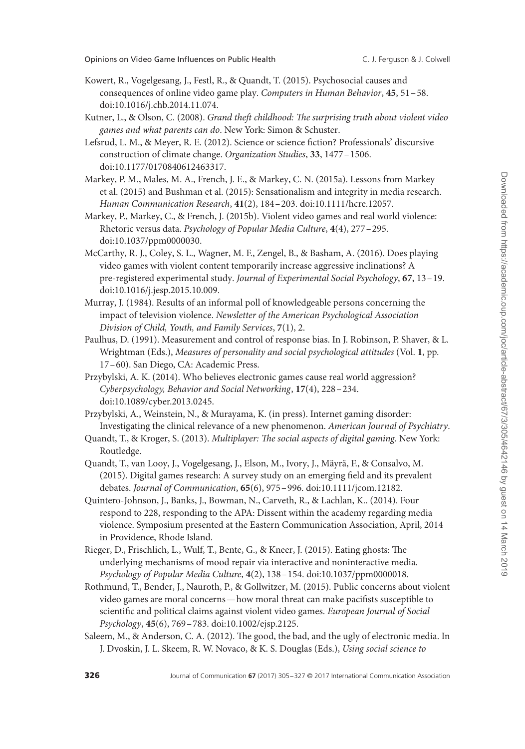- Kowert, R., Vogelgesang, J., Festl, R., & Quandt, T. (2015). Psychosocial causes and consequences of online video game play. *Computers in Human Behavior*, **45**, 51–58. doi:10.1016/j.chb.2014.11.074.
- Kutner, L., & Olson, C. (2008). *Grand theft childhood: The surprising truth about violent video games and what parents can do*. New York: Simon & Schuster.
- Lefsrud, L. M., & Meyer, R. E. (2012). Science or science fiction? Professionals' discursive construction of climate change. *Organization Studies*, **33**, 1477–1506. doi:10.1177/0170840612463317.
- Markey, P. M., Males, M. A., French, J. E., & Markey, C. N. (2015a). Lessons from Markey et al. (2015) and Bushman et al. (2015): Sensationalism and integrity in media research. *Human Communication Research*, **41**(2), 184–203. doi:10.1111/hcre.12057.
- Markey, P., Markey, C., & French, J. (2015b). Violent video games and real world violence: Rhetoric versus data. *Psychology of Popular Media Culture*, **4**(4), 277–295. doi:10.1037/ppm0000030.
- McCarthy, R. J., Coley, S. L., Wagner, M. F., Zengel, B., & Basham, A. (2016). Does playing video games with violent content temporarily increase aggressive inclinations? A pre-registered experimental study. *Journal of Experimental Social Psychology*, **67**, 13–19. doi:10.1016/j.jesp.2015.10.009.
- Murray, J. (1984). Results of an informal poll of knowledgeable persons concerning the impact of television violence. *Newsletter of the American Psychological Association Division of Child, Youth, and Family Services*, **7**(1), 2.
- Paulhus, D. (1991). Measurement and control of response bias. In J. Robinson, P. Shaver, & L. Wrightman (Eds.), *Measures of personality and social psychological attitudes* (Vol. **1**, pp. 17–60). San Diego, CA: Academic Press.
- Przybylski, A. K. (2014). Who believes electronic games cause real world aggression? *Cyberpsychology, Behavior and Social Networking*, **17**(4), 228–234. doi:10.1089/cyber.2013.0245.
- Przybylski, A., Weinstein, N., & Murayama, K. (in press). Internet gaming disorder: Investigating the clinical relevance of a new phenomenon. *American Journal of Psychiatry*.
- Quandt, T., & Kroger, S. (2013). *Multiplayer: The social aspects of digital gaming*. New York: Routledge.
- Quandt, T., van Looy, J., Vogelgesang, J., Elson, M., Ivory, J., Mäyrä, F., & Consalvo, M. (2015). Digital games research: A survey study on an emerging field and its prevalent debates. *Journal of Communication*, **65**(6), 975–996. doi:10.1111/jcom.12182.
- Quintero-Johnson, J., Banks, J., Bowman, N., Carveth, R., & Lachlan, K.. (2014). Four respond to 228, responding to the APA: Dissent within the academy regarding media violence. Symposium presented at the Eastern Communication Association, April, 2014 in Providence, Rhode Island.
- Rieger, D., Frischlich, L., Wulf, T., Bente, G., & Kneer, J. (2015). Eating ghosts: The underlying mechanisms of mood repair via interactive and noninteractive media. *Psychology of Popular Media Culture*, **4**(2), 138–154. doi:10.1037/ppm0000018.
- Rothmund, T., Bender, J., Nauroth, P., & Gollwitzer, M. (2015). Public concerns about violent video games are moral concerns—how moral threat can make pacifists susceptible to scientific and political claims against violent video games. *European Journal of Social Psychology*, **45**(6), 769–783. doi:10.1002/ejsp.2125.
- Saleem, M., & Anderson, C. A. (2012). The good, the bad, and the ugly of electronic media. In J. Dvoskin, J. L. Skeem, R. W. Novaco, & K. S. Douglas (Eds.), *Using social science to*